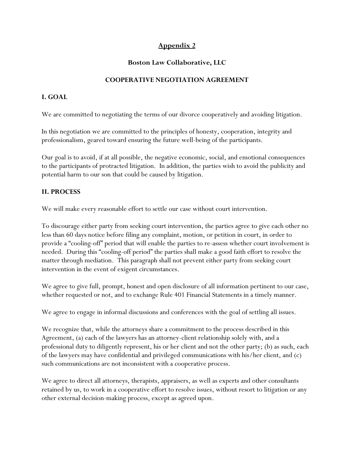# **Appendix 2**

## **Boston Law Collaborative, LLC**

#### **COOPERATIVE NEGOTIATION AGREEMENT**

## **I. GOAL**

We are committed to negotiating the terms of our divorce cooperatively and avoiding litigation.

In this negotiation we are committed to the principles of honesty, cooperation, integrity and professionalism, geared toward ensuring the future well-being of the participants.

Our goal is to avoid, if at all possible, the negative economic, social, and emotional consequences to the participants of protracted litigation. In addition, the parties wish to avoid the publicity and potential harm to our son that could be caused by litigation.

## **II. PROCESS**

We will make every reasonable effort to settle our case without court intervention.

To discourage either party from seeking court intervention, the parties agree to give each other no less than 60 days notice before filing any complaint, motion, or petition in court, in order to provide a "cooling-off" period that will enable the parties to re-assess whether court involvement is needed. During this "cooling-off period" the parties shall make a good faith effort to resolve the matter through mediation. This paragraph shall not prevent either party from seeking court intervention in the event of exigent circumstances.

We agree to give full, prompt, honest and open disclosure of all information pertinent to our case, whether requested or not, and to exchange Rule 401 Financial Statements in a timely manner.

We agree to engage in informal discussions and conferences with the goal of settling all issues.

We recognize that, while the attorneys share a commitment to the process described in this Agreement, (a) each of the lawyers has an attorney-client relationship solely with, and a professional duty to diligently represent, his or her client and not the other party; (b) as such, each of the lawyers may have confidential and privileged communications with his/her client, and (c) such communications are not inconsistent with a cooperative process.

We agree to direct all attorneys, therapists, appraisers, as well as experts and other consultants retained by us, to work in a cooperative effort to resolve issues, without resort to litigation or any other external decision-making process, except as agreed upon.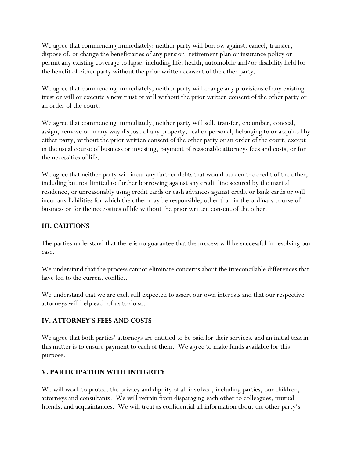We agree that commencing immediately: neither party will borrow against, cancel, transfer, dispose of, or change the beneficiaries of any pension, retirement plan or insurance policy or permit any existing coverage to lapse, including life, health, automobile and/or disability held for the benefit of either party without the prior written consent of the other party.

We agree that commencing immediately, neither party will change any provisions of any existing trust or will or execute a new trust or will without the prior written consent of the other party or an order of the court.

We agree that commencing immediately, neither party will sell, transfer, encumber, conceal, assign, remove or in any way dispose of any property, real or personal, belonging to or acquired by either party, without the prior written consent of the other party or an order of the court, except in the usual course of business or investing, payment of reasonable attorneys fees and costs, or for the necessities of life.

We agree that neither party will incur any further debts that would burden the credit of the other, including but not limited to further borrowing against any credit line secured by the marital residence, or unreasonably using credit cards or cash advances against credit or bank cards or will incur any liabilities for which the other may be responsible, other than in the ordinary course of business or for the necessities of life without the prior written consent of the other.

## **III. CAUTIONS**

The parties understand that there is no guarantee that the process will be successful in resolving our case.

We understand that the process cannot eliminate concerns about the irreconcilable differences that have led to the current conflict.

We understand that we are each still expected to assert our own interests and that our respective attorneys will help each of us to do so.

## **IV. ATTORNEY'S FEES AND COSTS**

We agree that both parties' attorneys are entitled to be paid for their services, and an initial task in this matter is to ensure payment to each of them. We agree to make funds available for this purpose.

## **V. PARTICIPATION WITH INTEGRITY**

We will work to protect the privacy and dignity of all involved, including parties, our children, attorneys and consultants. We will refrain from disparaging each other to colleagues, mutual friends, and acquaintances. We will treat as confidential all information about the other party's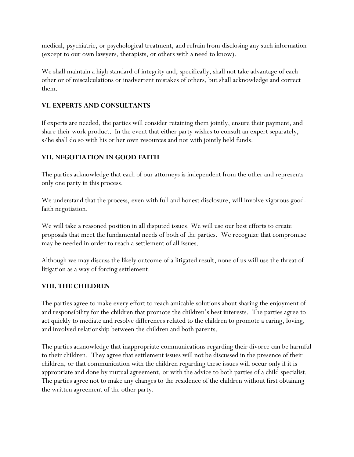medical, psychiatric, or psychological treatment, and refrain from disclosing any such information (except to our own lawyers, therapists, or others with a need to know).

We shall maintain a high standard of integrity and, specifically, shall not take advantage of each other or of miscalculations or inadvertent mistakes of others, but shall acknowledge and correct them.

## **VI. EXPERTS AND CONSULTANTS**

If experts are needed, the parties will consider retaining them jointly, ensure their payment, and share their work product. In the event that either party wishes to consult an expert separately, s/he shall do so with his or her own resources and not with jointly held funds.

# **VII. NEGOTIATION IN GOOD FAITH**

The parties acknowledge that each of our attorneys is independent from the other and represents only one party in this process.

We understand that the process, even with full and honest disclosure, will involve vigorous goodfaith negotiation.

We will take a reasoned position in all disputed issues. We will use our best efforts to create proposals that meet the fundamental needs of both of the parties. We recognize that compromise may be needed in order to reach a settlement of all issues.

Although we may discuss the likely outcome of a litigated result, none of us will use the threat of litigation as a way of forcing settlement.

## **VIII. THE CHILDREN**

The parties agree to make every effort to reach amicable solutions about sharing the enjoyment of and responsibility for the children that promote the children's best interests. The parties agree to act quickly to mediate and resolve differences related to the children to promote a caring, loving, and involved relationship between the children and both parents.

The parties acknowledge that inappropriate communications regarding their divorce can be harmful to their children. They agree that settlement issues will not be discussed in the presence of their children, or that communication with the children regarding these issues will occur only if it is appropriate and done by mutual agreement, or with the advice to both parties of a child specialist. The parties agree not to make any changes to the residence of the children without first obtaining the written agreement of the other party.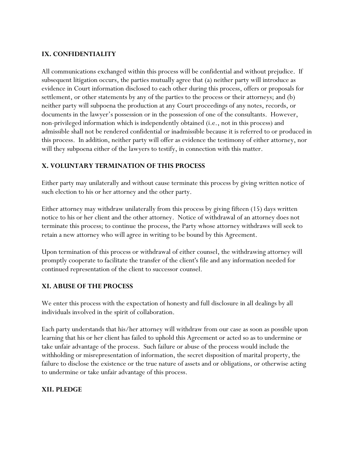#### **IX. CONFIDENTIALITY**

All communications exchanged within this process will be confidential and without prejudice. If subsequent litigation occurs, the parties mutually agree that (a) neither party will introduce as evidence in Court information disclosed to each other during this process, offers or proposals for settlement, or other statements by any of the parties to the process or their attorneys; and (b) neither party will subpoena the production at any Court proceedings of any notes, records, or documents in the lawyer's possession or in the possession of one of the consultants. However, non-privileged information which is independently obtained (i.e., not in this process) and admissible shall not be rendered confidential or inadmissible because it is referred to or produced in this process. In addition, neither party will offer as evidence the testimony of either attorney, nor will they subpoena either of the lawyers to testify, in connection with this matter.

#### **X. VOLUNTARY TERMINATION OF THIS PROCESS**

Either party may unilaterally and without cause terminate this process by giving written notice of such election to his or her attorney and the other party.

Either attorney may withdraw unilaterally from this process by giving fifteen (15) days written notice to his or her client and the other attorney. Notice of withdrawal of an attorney does not terminate this process; to continue the process, the Party whose attorney withdraws will seek to retain a new attorney who will agree in writing to be bound by this Agreement.

Upon termination of this process or withdrawal of either counsel, the withdrawing attorney will promptly cooperate to facilitate the transfer of the client's file and any information needed for continued representation of the client to successor counsel.

## **XI. ABUSE OF THE PROCESS**

We enter this process with the expectation of honesty and full disclosure in all dealings by all individuals involved in the spirit of collaboration.

Each party understands that his/her attorney will withdraw from our case as soon as possible upon learning that his or her client has failed to uphold this Agreement or acted so as to undermine or take unfair advantage of the process. Such failure or abuse of the process would include the withholding or misrepresentation of information, the secret disposition of marital property, the failure to disclose the existence or the true nature of assets and or obligations, or otherwise acting to undermine or take unfair advantage of this process.

#### **XII. PLEDGE**